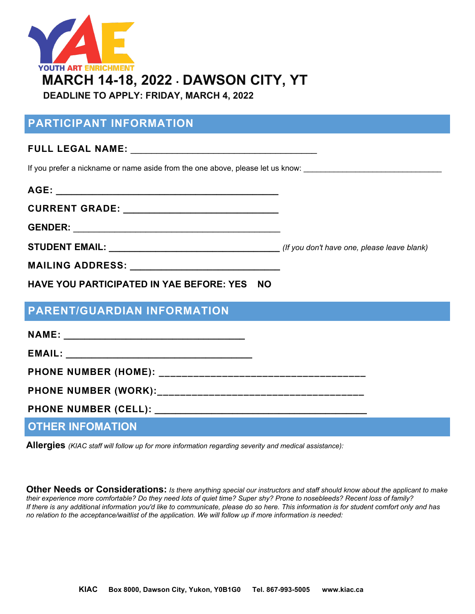

# **PARTICIPANT INFORMATION**

### **FULL LEGAL NAME:** \_\_\_\_\_\_\_\_\_\_\_\_\_\_\_\_\_\_\_\_\_\_\_\_\_\_\_\_\_\_\_\_\_\_\_\_

If you prefer a nickname or name aside from the one above, please let us know:

| AGE:                                                         |  |
|--------------------------------------------------------------|--|
| CURRENT GRADE: _____________________________                 |  |
|                                                              |  |
|                                                              |  |
|                                                              |  |
| <b>HAVE YOU PARTICIPATED IN YAE BEFORE: YES</b><br><b>NO</b> |  |

### **PARENT/GUARDIAN INFORMATION**

| <b>OTHER INFOMATION</b> |  |
|-------------------------|--|

**Allergies** *(KIAC staff will follow up for more information regarding severity and medical assistance):*

**Other Needs or Considerations:** *Is there anything special our instructors and staff should know about the applicant to make their experience more comfortable? Do they need lots of quiet time? Super shy? Prone to nosebleeds? Recent loss of family? If there is any additional information you'd like to communicate, please do so here. This information is for student comfort only and has no relation to the acceptance/waitlist of the application. We will follow up if more information is needed:*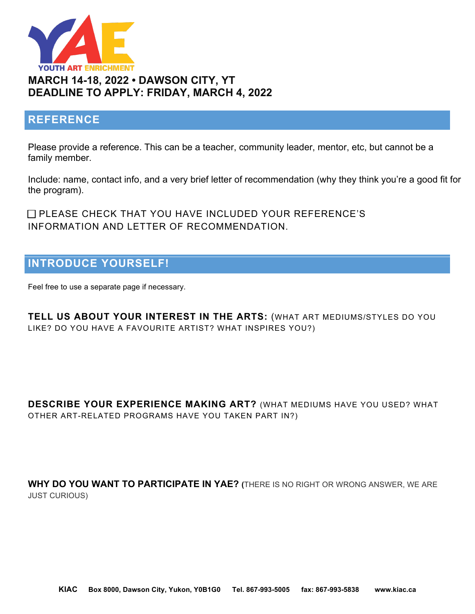

### **REFERENCE**

Please provide a reference. This can be a teacher, community leader, mentor, etc, but cannot be a family member.

Include: name, contact info, and a very brief letter of recommendation (why they think you're a good fit for the program).

□ PLEASE CHECK THAT YOU HAVE INCLUDED YOUR REFERENCE'S INFORMATION AND LETTER OF RECOMMENDATION.

# **INTRODUCE YOURSELF!**

Feel free to use a separate page if necessary.

**TELL US ABOUT YOUR INTEREST IN THE ARTS:** (WHAT ART MEDIUMS/STYLES DO YOU LIKE? DO YOU HAVE A FAVOURITE ARTIST? WHAT INSPIRES YOU?)

**DESCRIBE YOUR EXPERIENCE MAKING ART?** (WHAT MEDIUMS HAVE YOU USED? WHAT OTHER ART-RELATED PROGRAMS HAVE YOU TAKEN PART IN?)

**WHY DO YOU WANT TO PARTICIPATE IN YAE? (**THERE IS NO RIGHT OR WRONG ANSWER, WE ARE JUST CURIOUS)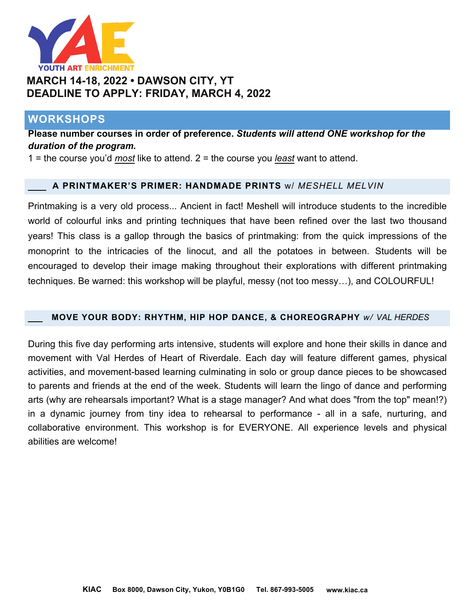

# **MARCH 14-18, 2022 • DAWSON CITY, YT DEADLINE TO APPLY: FRIDAY, MARCH 4, 2022**

### **WORKSHOPS**

**Please number courses in order of preference.** *Students will attend ONE workshop for the duration of the program.*

1 = the course you'd *most* like to attend. 2 = the course you *least* want to attend.

### **A PRINTMAKER'S PRIMER: HANDMADE PRINTS** w/ *MESHELL MELVIN*

Printmaking is a very old process... Ancient in fact! Meshell will introduce students to the incredible world of colourful inks and printing techniques that have been refined over the last two thousand years! This class is a gallop through the basics of printmaking: from the quick impressions of the monoprint to the intricacies of the linocut, and all the potatoes in between. Students will be encouraged to develop their image making throughout their explorations with different printmaking techniques. Be warned: this workshop will be playful, messy (not too messy…), and COLOURFUL!

#### **MOVE YOUR BODY: RHYTHM, HIP HOP DANCE, & CHOREOGRAPHY** *w/ VAL HERDES*

During this five day performing arts intensive, students will explore and hone their skills in dance and movement with Val Herdes of Heart of Riverdale. Each day will feature different games, physical activities, and movement-based learning culminating in solo or group dance pieces to be showcased to parents and friends at the end of the week. Students will learn the lingo of dance and performing arts (why are rehearsals important? What is a stage manager? And what does "from the top" mean!?) in a dynamic journey from tiny idea to rehearsal to performance - all in a safe, nurturing, and collaborative environment. This workshop is for EVERYONE. All experience levels and physical abilities are welcome!